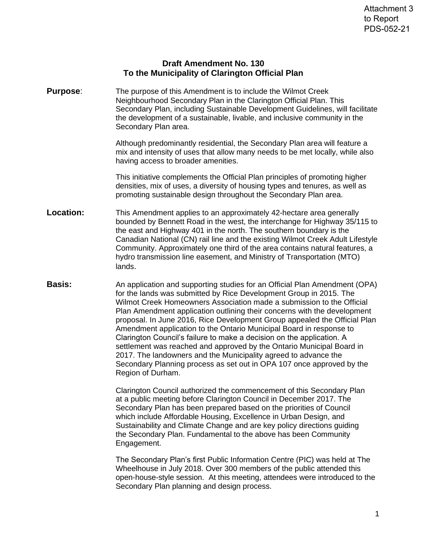## **Draft Amendment No. 130 To the Municipality of Clarington Official Plan**

**Purpose:** The purpose of this Amendment is to include the Wilmot Creek Neighbourhood Secondary Plan in the Clarington Official Plan. This Secondary Plan, including Sustainable Development Guidelines, will facilitate the development of a sustainable, livable, and inclusive community in the Secondary Plan area.

> Although predominantly residential, the Secondary Plan area will feature a mix and intensity of uses that allow many needs to be met locally, while also having access to broader amenities.

This initiative complements the Official Plan principles of promoting higher densities, mix of uses, a diversity of housing types and tenures, as well as promoting sustainable design throughout the Secondary Plan area.

- **Location:** This Amendment applies to an approximately 42-hectare area generally bounded by Bennett Road in the west, the interchange for Highway 35/115 to the east and Highway 401 in the north. The southern boundary is the Canadian National (CN) rail line and the existing Wilmot Creek Adult Lifestyle Community. Approximately one third of the area contains natural features, a hydro transmission line easement, and Ministry of Transportation (MTO) lands.
- **Basis:** An application and supporting studies for an Official Plan Amendment (OPA) for the lands was submitted by Rice Development Group in 2015. The Wilmot Creek Homeowners Association made a submission to the Official Plan Amendment application outlining their concerns with the development proposal. In June 2016, Rice Development Group appealed the Official Plan Amendment application to the Ontario Municipal Board in response to Clarington Council's failure to make a decision on the application. A settlement was reached and approved by the Ontario Municipal Board in 2017. The landowners and the Municipality agreed to advance the Secondary Planning process as set out in OPA 107 once approved by the Region of Durham.

Clarington Council authorized the commencement of this Secondary Plan at a public meeting before Clarington Council in December 2017. The Secondary Plan has been prepared based on the priorities of Council which include Affordable Housing, Excellence in Urban Design, and Sustainability and Climate Change and are key policy directions guiding the Secondary Plan. Fundamental to the above has been Community Engagement.

The Secondary Plan's first Public Information Centre (PIC) was held at The Wheelhouse in July 2018. Over 300 members of the public attended this open-house-style session. At this meeting, attendees were introduced to the Secondary Plan planning and design process.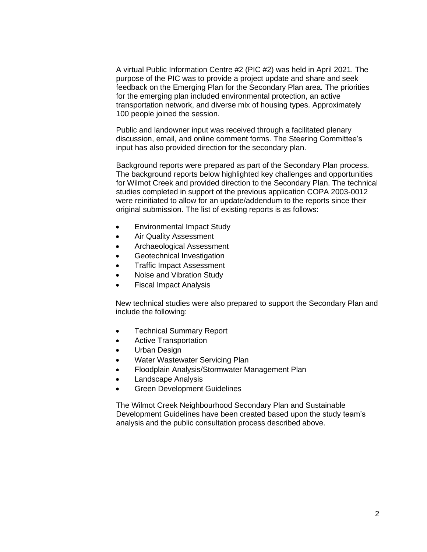A virtual Public Information Centre #2 (PIC #2) was held in April 2021. The purpose of the PIC was to provide a project update and share and seek feedback on the Emerging Plan for the Secondary Plan area. The priorities for the emerging plan included environmental protection, an active transportation network, and diverse mix of housing types. Approximately 100 people joined the session.

Public and landowner input was received through a facilitated plenary discussion, email, and online comment forms. The Steering Committee's input has also provided direction for the secondary plan.

Background reports were prepared as part of the Secondary Plan process. The background reports below highlighted key challenges and opportunities for Wilmot Creek and provided direction to the Secondary Plan. The technical studies completed in support of the previous application COPA 2003-0012 were reinitiated to allow for an update/addendum to the reports since their original submission. The list of existing reports is as follows:

- Environmental Impact Study
- Air Quality Assessment
- Archaeological Assessment
- Geotechnical Investigation
- Traffic Impact Assessment
- Noise and Vibration Study
- Fiscal Impact Analysis

New technical studies were also prepared to support the Secondary Plan and include the following:

- Technical Summary Report
- Active Transportation
- Urban Design
- Water Wastewater Servicing Plan
- Floodplain Analysis/Stormwater Management Plan
- Landscape Analysis
- Green Development Guidelines

The Wilmot Creek Neighbourhood Secondary Plan and Sustainable Development Guidelines have been created based upon the study team's analysis and the public consultation process described above.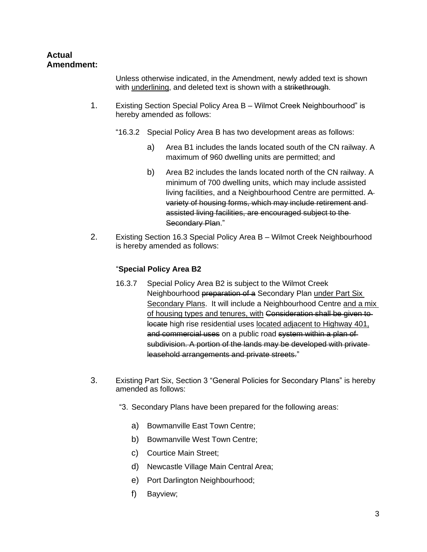## **Actual Amendment:**

Unless otherwise indicated, in the Amendment, newly added text is shown with underlining, and deleted text is shown with a strikethrough.

- 1. Existing Section Special Policy Area B Wilmot Creek Neighbourhood" is hereby amended as follows:
	- "16.3.2 Special Policy Area B has two development areas as follows:
		- a) Area B1 includes the lands located south of the CN railway. A maximum of 960 dwelling units are permitted; and
		- b) Area B2 includes the lands located north of the CN railway. A minimum of 700 dwelling units, which may include assisted living facilities, and a Neighbourhood Centre are permitted. A variety of housing forms, which may include retirement and assisted living facilities, are encouraged subject to the Secondary Plan."
- 2. Existing Section 16.3 Special Policy Area B Wilmot Creek Neighbourhood is hereby amended as follows:

## "**Special Policy Area B2**

- 16.3.7 Special Policy Area B2 is subject to the Wilmot Creek Neighbourhood preparation of a Secondary Plan under Part Six Secondary Plans. It will include a Neighbourhood Centre and a mix of housing types and tenures, with Consideration shall be given to locate high rise residential uses located adjacent to Highway 401, and commercial uses on a public road system within a plan of subdivision. A portion of the lands may be developed with private leasehold arrangements and private streets."
- 3. Existing Part Six, Section 3 "General Policies for Secondary Plans" is hereby amended as follows:
	- "3. Secondary Plans have been prepared for the following areas:
		- a) Bowmanville East Town Centre;
		- b) Bowmanville West Town Centre;
		- c) Courtice Main Street;
		- d) Newcastle Village Main Central Area;
		- e) Port Darlington Neighbourhood;
		- f) Bayview;